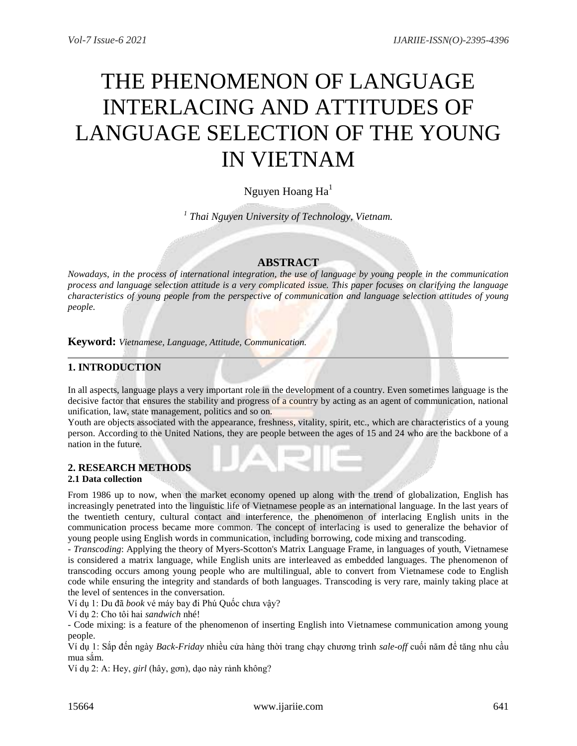# THE PHENOMENON OF LANGUAGE INTERLACING AND ATTITUDES OF LANGUAGE SELECTION OF THE YOUNG IN VIETNAM

## Nguyen Hoang Ha<sup>1</sup>

*1 Thai Nguyen University of Technology, Vietnam.*

## **ABSTRACT**

*Nowadays, in the process of international integration, the use of language by young people in the communication process and language selection attitude is a very complicated issue. This paper focuses on clarifying the language characteristics of young people from the perspective of communication and language selection attitudes of young people.*

**Keyword:** *Vietnamese, Language, Attitude, Communication.*

## **1. INTRODUCTION**

In all aspects, language plays a very important role in the development of a country. Even sometimes language is the decisive factor that ensures the stability and progress of a country by acting as an agent of communication, national unification, law, state management, politics and so on.

Youth are objects associated with the appearance, freshness, vitality, spirit, etc., which are characteristics of a young person. According to the United Nations, they are people between the ages of 15 and 24 who are the backbone of a nation in the future.

## **2. RESEARCH METHODS**

#### **2.1 Data collection**

From 1986 up to now, when the market economy opened up along with the trend of globalization, English has increasingly penetrated into the linguistic life of Vietnamese people as an international language. In the last years of the twentieth century, cultural contact and interference, the phenomenon of interlacing English units in the communication process became more common. The concept of interlacing is used to generalize the behavior of young people using English words in communication, including borrowing, code mixing and transcoding.

*- Transcoding*: Applying the theory of Myers-Scotton's Matrix Language Frame, in languages of youth, Vietnamese is considered a matrix language, while English units are interleaved as embedded languages. The phenomenon of transcoding occurs among young people who are multilingual, able to convert from Vietnamese code to English code while ensuring the integrity and standards of both languages. Transcoding is very rare, mainly taking place at the level of sentences in the conversation.

Ví dụ 1: Du đã *book* vé máy bay đi Phú Quốc chưa vậy?

Ví dụ 2: Cho tôi hai *sandwich* nhé!

- Code mixing: is a feature of the phenomenon of inserting English into Vietnamese communication among young people.

Ví dụ 1: Sắp đến ngày *Back-Friday* nhiều cửa hàng thời trang chạy chương trình *sale-off* cuối năm để tăng nhu cầu mua sắm.

Ví dụ 2: A: Hey, *girl* (hây, gơn), dạo này rảnh không?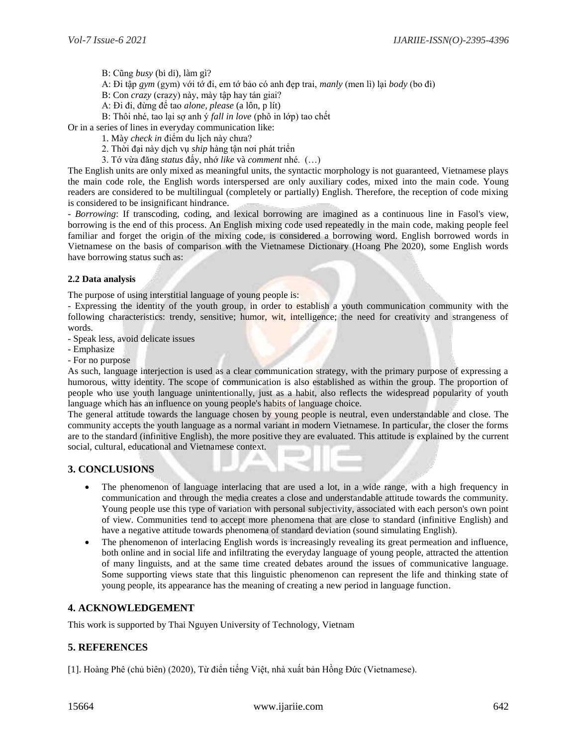B: Cũng *busy* (bi di), làm gì?

- A: Đi tập *gym* (gym) với tớ đi, em tớ bảo có anh đẹp trai, *manly* (men lì) lại *body* (bo đì)
- B: Con *crazy* (crazy) này, mày tập hay tán giai?
- A: Đi đi, đừng để tao *alone, please* (a lôn, p lít)
- B: Thôi nhé, tao lại sợ anh ý *fall in love* (phô in lớp) tao chết

Or in a series of lines in everyday communication like:

- 1. Mày *check in* điểm du lịch này chưa?
- 2. Thời đại này dịch vụ *ship* hàng tận nơi phát triển
- 3. Tớ vừa đăng *status* đấy, nhớ *like* và *comment* nhé. (…)

The English units are only mixed as meaningful units, the syntactic morphology is not guaranteed, Vietnamese plays the main code role, the English words interspersed are only auxiliary codes, mixed into the main code. Young readers are considered to be multilingual (completely or partially) English. Therefore, the reception of code mixing is considered to be insignificant hindrance.

- *Borrowing*: If transcoding, coding, and lexical borrowing are imagined as a continuous line in Fasol's view, borrowing is the end of this process. An English mixing code used repeatedly in the main code, making people feel familiar and forget the origin of the mixing code, is considered a borrowing word. English borrowed words in Vietnamese on the basis of comparison with the Vietnamese Dictionary (Hoang Phe 2020), some English words have borrowing status such as:

#### **2.2 Data analysis**

The purpose of using interstitial language of young people is:

- Expressing the identity of the youth group, in order to establish a youth communication community with the following characteristics: trendy, sensitive; humor, wit, intelligence; the need for creativity and strangeness of words.

- Speak less, avoid delicate issues
- Emphasize
- For no purpose

As such, language interjection is used as a clear communication strategy, with the primary purpose of expressing a humorous, witty identity. The scope of communication is also established as within the group. The proportion of people who use youth language unintentionally, just as a habit, also reflects the widespread popularity of youth language which has an influence on young people's habits of language choice.

The general attitude towards the language chosen by young people is neutral, even understandable and close. The community accepts the youth language as a normal variant in modern Vietnamese. In particular, the closer the forms are to the standard (infinitive English), the more positive they are evaluated. This attitude is explained by the current social, cultural, educational and Vietnamese context.

## **3. CONCLUSIONS**

- The phenomenon of language interlacing that are used a lot, in a wide range, with a high frequency in communication and through the media creates a close and understandable attitude towards the community. Young people use this type of variation with personal subjectivity, associated with each person's own point of view. Communities tend to accept more phenomena that are close to standard (infinitive English) and have a negative attitude towards phenomena of standard deviation (sound simulating English).
- The phenomenon of interlacing English words is increasingly revealing its great permeation and influence, both online and in social life and infiltrating the everyday language of young people, attracted the attention of many linguists, and at the same time created debates around the issues of communicative language. Some supporting views state that this linguistic phenomenon can represent the life and thinking state of young people, its appearance has the meaning of creating a new period in language function.

## **4. ACKNOWLEDGEMENT**

This work is supported by Thai Nguyen University of Technology, Vietnam

## **5. REFERENCES**

[1]. Hoàng Phê (chủ biên) (2020), Từ điển tiếng Việt, nhà xuất bản Hồng Đức (Vietnamese).